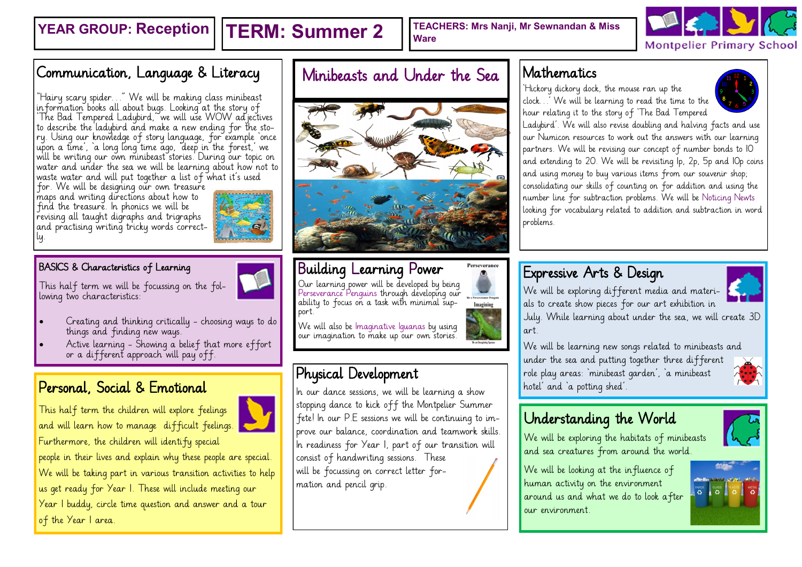**YEAR GROUP: Reception | TERM: Summer 2** | TEACHERS: Mrs Nanji, Mr Sewnandan & Miss **Ware**



## Communication, Language & Literacy

 $\ddot{\phantom{0}}$ "Hairy scary spider…" We will be making class minibeast information books all about bugs. Looking at the story of 'The Bad Tempered Ladybird,' we will use WOW adjectives to describe the ladybird and make a new ending for the story. Using our knowledge of story language, for example 'once upon a time', 'a long long time ago, 'deep in the forest,' we will be writing our own minibeast stories. During our topic on water and under the sea we will be learning about how not to waste water and will put together a list of what it's used

for. We will be designing our own treasure maps and writing directions about how to find the treasure. In phonics we will be revising all taught digraphs and trigraphs and practising writing tricky words correctly.

#### BASICS & Characteristics of Learning

This half term we will be focussing on the following two characteristics:

- Creating and thinking critically choosing ways to do things and finding new ways.
- Active learning Showing a belief that more effort or a different approach will pay off.

This half term the children will explore feelings and will learn how to manage difficult feelings. Furthermore, the children will identify special

people in their lives and explain why these people are special. We will be taking part in various transition activities to help us get ready for Year 1. These will include meeting our Year 1 buddy, circle time question and answer and a tour of the Year I area.

# Minibeasts and Under the Sea



# Building Learning Power

Our learning power will be developed by being Perseverance Penguins through developing our ability to focus on a task with minimal support.

We will also be Imaginative Iguanas by using our imagination to make up our own stories.

### Physical Development

Personal, Social & Emotional **France Learning a show the sexual section** and 'a potting shed'. stopping dance to kick off the Montpelier Summer fete! In our P.E sessions we will be continuing to improve our balance, coordination and teamwork skills. In readiness for Year 1, part of our transition will consist of handwriting sessions. These will be focussing on correct letter formation and pencil grip.

### Mathematics

'Hickory dickory dock, the mouse ran up the clock…' We will be learning to read the time to the hour relating it to the story of 'The Bad Tempered



Ladybird'. We will also revise doubling and halving facts and use our Numicon resources to work out the answers with our learning partners. We will be revising our concept of number bonds to 10 and extending to 20. We will be revisiting 1p, 2p, 5p and 10p coins and using money to buy various items from our souvenir shop; consolidating our skills of counting on for addition and using the number line for subtraction problems. We will be Noticing Newts looking for vocabulary related to addition and subtraction in word problems.

### Expressive Arts & Design

We will be exploring different media and materials to create show pieces for our art exhibition in

July. While learning about under the sea, we will create 3D art.

We will be learning new songs related to minibeasts and under the sea and putting together three different role play areas: 'minibeast garden', 'a minibeast

# Understanding the World

We will be exploring the habitats of minibeasts and sea creatures from around the world.

We will be looking at the influence of human activity on the environment around us and what we do to look after our environment.











Perseverance